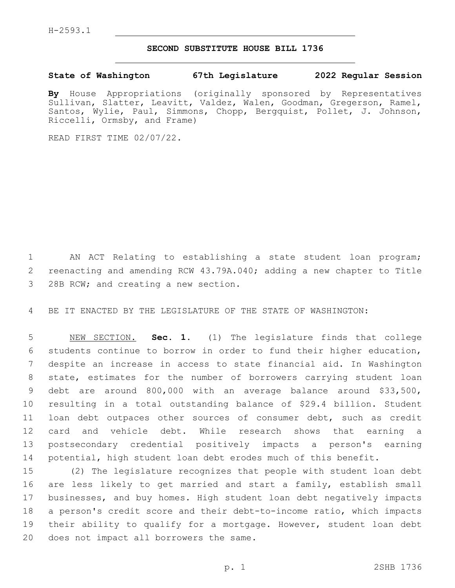## **SECOND SUBSTITUTE HOUSE BILL 1736**

**State of Washington 67th Legislature 2022 Regular Session**

**By** House Appropriations (originally sponsored by Representatives Sullivan, Slatter, Leavitt, Valdez, Walen, Goodman, Gregerson, Ramel, Santos, Wylie, Paul, Simmons, Chopp, Bergquist, Pollet, J. Johnson, Riccelli, Ormsby, and Frame)

READ FIRST TIME 02/07/22.

 AN ACT Relating to establishing a state student loan program; reenacting and amending RCW 43.79A.040; adding a new chapter to Title 3 28B RCW; and creating a new section.

BE IT ENACTED BY THE LEGISLATURE OF THE STATE OF WASHINGTON:

 NEW SECTION. **Sec. 1.** (1) The legislature finds that college students continue to borrow in order to fund their higher education, despite an increase in access to state financial aid. In Washington state, estimates for the number of borrowers carrying student loan debt are around 800,000 with an average balance around \$33,500, resulting in a total outstanding balance of \$29.4 billion. Student loan debt outpaces other sources of consumer debt, such as credit card and vehicle debt. While research shows that earning a postsecondary credential positively impacts a person's earning potential, high student loan debt erodes much of this benefit.

 (2) The legislature recognizes that people with student loan debt are less likely to get married and start a family, establish small businesses, and buy homes. High student loan debt negatively impacts a person's credit score and their debt-to-income ratio, which impacts their ability to qualify for a mortgage. However, student loan debt 20 does not impact all borrowers the same.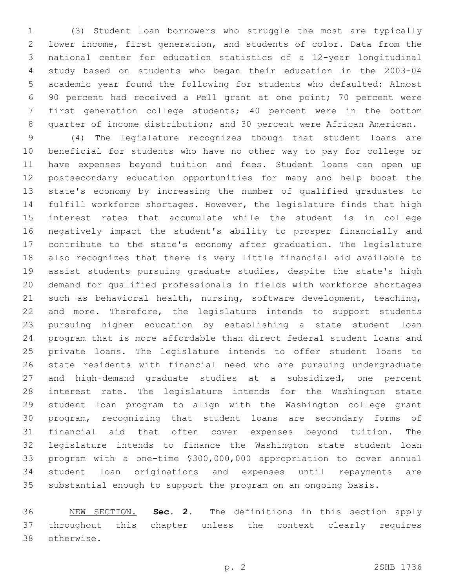(3) Student loan borrowers who struggle the most are typically lower income, first generation, and students of color. Data from the national center for education statistics of a 12-year longitudinal study based on students who began their education in the 2003-04 academic year found the following for students who defaulted: Almost 90 percent had received a Pell grant at one point; 70 percent were first generation college students; 40 percent were in the bottom quarter of income distribution; and 30 percent were African American.

 (4) The legislature recognizes though that student loans are beneficial for students who have no other way to pay for college or have expenses beyond tuition and fees. Student loans can open up postsecondary education opportunities for many and help boost the state's economy by increasing the number of qualified graduates to fulfill workforce shortages. However, the legislature finds that high interest rates that accumulate while the student is in college negatively impact the student's ability to prosper financially and contribute to the state's economy after graduation. The legislature also recognizes that there is very little financial aid available to assist students pursuing graduate studies, despite the state's high demand for qualified professionals in fields with workforce shortages such as behavioral health, nursing, software development, teaching, and more. Therefore, the legislature intends to support students pursuing higher education by establishing a state student loan program that is more affordable than direct federal student loans and private loans. The legislature intends to offer student loans to state residents with financial need who are pursuing undergraduate and high-demand graduate studies at a subsidized, one percent interest rate. The legislature intends for the Washington state student loan program to align with the Washington college grant program, recognizing that student loans are secondary forms of financial aid that often cover expenses beyond tuition. The legislature intends to finance the Washington state student loan program with a one-time \$300,000,000 appropriation to cover annual student loan originations and expenses until repayments are substantial enough to support the program on an ongoing basis.

 NEW SECTION. **Sec. 2.** The definitions in this section apply throughout this chapter unless the context clearly requires otherwise.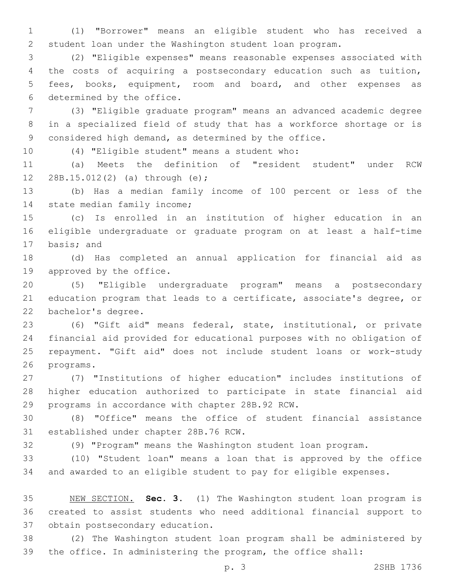(1) "Borrower" means an eligible student who has received a student loan under the Washington student loan program.

 (2) "Eligible expenses" means reasonable expenses associated with the costs of acquiring a postsecondary education such as tuition, fees, books, equipment, room and board, and other expenses as 6 determined by the office.

 (3) "Eligible graduate program" means an advanced academic degree in a specialized field of study that has a workforce shortage or is considered high demand, as determined by the office.

10 (4) "Eligible student" means a student who:

 (a) Meets the definition of "resident student" under RCW 12 28B.15.012(2) (a) through (e);

 (b) Has a median family income of 100 percent or less of the 14 state median family income;

 (c) Is enrolled in an institution of higher education in an eligible undergraduate or graduate program on at least a half-time 17 basis; and

 (d) Has completed an annual application for financial aid as 19 approved by the office.

 (5) "Eligible undergraduate program" means a postsecondary education program that leads to a certificate, associate's degree, or 22 bachelor's degree.

 (6) "Gift aid" means federal, state, institutional, or private financial aid provided for educational purposes with no obligation of repayment. "Gift aid" does not include student loans or work-study 26 programs.

 (7) "Institutions of higher education" includes institutions of higher education authorized to participate in state financial aid 29 programs in accordance with chapter 28B.92 RCW.

 (8) "Office" means the office of student financial assistance 31 established under chapter 28B.76 RCW.

(9) "Program" means the Washington student loan program.

 (10) "Student loan" means a loan that is approved by the office and awarded to an eligible student to pay for eligible expenses.

 NEW SECTION. **Sec. 3.** (1) The Washington student loan program is created to assist students who need additional financial support to obtain postsecondary education.

 (2) The Washington student loan program shall be administered by the office. In administering the program, the office shall: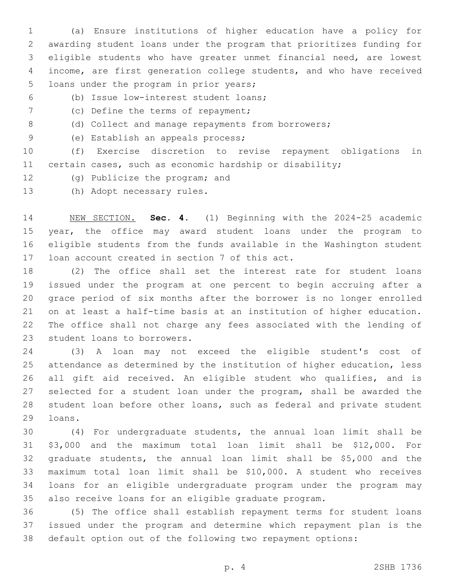(a) Ensure institutions of higher education have a policy for awarding student loans under the program that prioritizes funding for eligible students who have greater unmet financial need, are lowest income, are first generation college students, and who have received 5 loans under the program in prior years;

(b) Issue low-interest student loans;6

- 7 (c) Define the terms of repayment;
- 8 (d) Collect and manage repayments from borrowers;
- 9 (e) Establish an appeals process;

 (f) Exercise discretion to revise repayment obligations in certain cases, such as economic hardship or disability;

- 12 (g) Publicize the program; and
- 13 (h) Adopt necessary rules.

 NEW SECTION. **Sec. 4.** (1) Beginning with the 2024-25 academic year, the office may award student loans under the program to eligible students from the funds available in the Washington student loan account created in section 7 of this act.

 (2) The office shall set the interest rate for student loans issued under the program at one percent to begin accruing after a grace period of six months after the borrower is no longer enrolled on at least a half-time basis at an institution of higher education. The office shall not charge any fees associated with the lending of 23 student loans to borrowers.

 (3) A loan may not exceed the eligible student's cost of attendance as determined by the institution of higher education, less all gift aid received. An eligible student who qualifies, and is selected for a student loan under the program, shall be awarded the student loan before other loans, such as federal and private student 29 loans.

 (4) For undergraduate students, the annual loan limit shall be \$3,000 and the maximum total loan limit shall be \$12,000. For graduate students, the annual loan limit shall be \$5,000 and the maximum total loan limit shall be \$10,000. A student who receives loans for an eligible undergraduate program under the program may also receive loans for an eligible graduate program.

 (5) The office shall establish repayment terms for student loans issued under the program and determine which repayment plan is the default option out of the following two repayment options: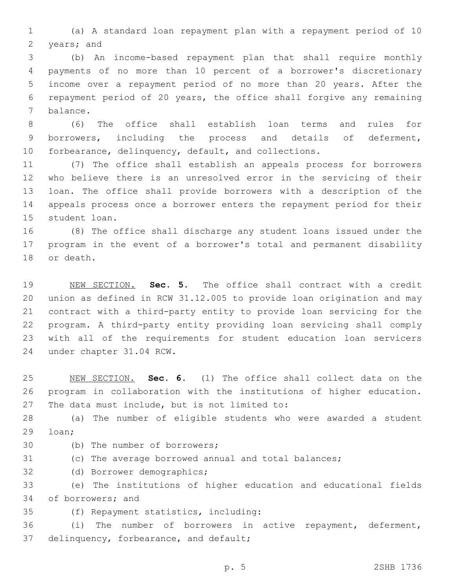(a) A standard loan repayment plan with a repayment period of 10 2 years; and

 (b) An income-based repayment plan that shall require monthly payments of no more than 10 percent of a borrower's discretionary income over a repayment period of no more than 20 years. After the repayment period of 20 years, the office shall forgive any remaining 7 balance.

 (6) The office shall establish loan terms and rules for borrowers, including the process and details of deferment, forbearance, delinquency, default, and collections.

 (7) The office shall establish an appeals process for borrowers who believe there is an unresolved error in the servicing of their loan. The office shall provide borrowers with a description of the appeals process once a borrower enters the repayment period for their 15 student loan.

 (8) The office shall discharge any student loans issued under the program in the event of a borrower's total and permanent disability 18 or death.

 NEW SECTION. **Sec. 5.** The office shall contract with a credit union as defined in RCW 31.12.005 to provide loan origination and may contract with a third-party entity to provide loan servicing for the program. A third-party entity providing loan servicing shall comply with all of the requirements for student education loan servicers under chapter 31.04 RCW.

 NEW SECTION. **Sec. 6.** (1) The office shall collect data on the program in collaboration with the institutions of higher education. The data must include, but is not limited to:

 (a) The number of eligible students who were awarded a student 29 loan;

- 30 (b) The number of borrowers;
- (c) The average borrowed annual and total balances;
- 32 (d) Borrower demographics;

 (e) The institutions of higher education and educational fields 34 of borrowers; and

(f) Repayment statistics, including:35

 (i) The number of borrowers in active repayment, deferment, 37 delinquency, forbearance, and default;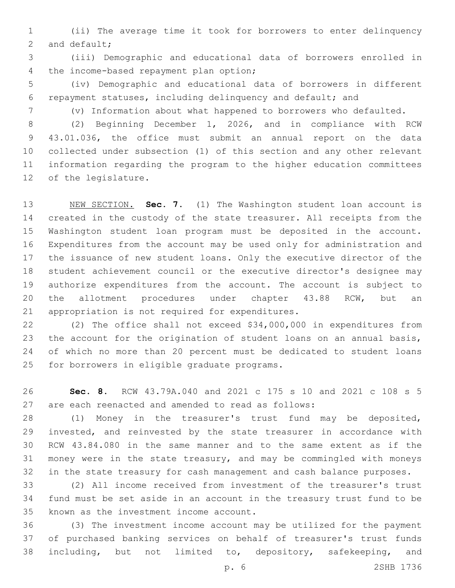(ii) The average time it took for borrowers to enter delinquency 2 and default;

 (iii) Demographic and educational data of borrowers enrolled in 4 the income-based repayment plan option;

 (iv) Demographic and educational data of borrowers in different repayment statuses, including delinquency and default; and

(v) Information about what happened to borrowers who defaulted.

 (2) Beginning December 1, 2026, and in compliance with RCW 43.01.036, the office must submit an annual report on the data collected under subsection (1) of this section and any other relevant information regarding the program to the higher education committees 12 of the legislature.

 NEW SECTION. **Sec. 7.** (1) The Washington student loan account is created in the custody of the state treasurer. All receipts from the Washington student loan program must be deposited in the account. Expenditures from the account may be used only for administration and the issuance of new student loans. Only the executive director of the student achievement council or the executive director's designee may authorize expenditures from the account. The account is subject to 20 the allotment procedures under chapter 43.88 RCW, but an appropriation is not required for expenditures.

 (2) The office shall not exceed \$34,000,000 in expenditures from the account for the origination of student loans on an annual basis, of which no more than 20 percent must be dedicated to student loans 25 for borrowers in eligible graduate programs.

 **Sec. 8.** RCW 43.79A.040 and 2021 c 175 s 10 and 2021 c 108 s 5 are each reenacted and amended to read as follows:

 (1) Money in the treasurer's trust fund may be deposited, invested, and reinvested by the state treasurer in accordance with RCW 43.84.080 in the same manner and to the same extent as if the money were in the state treasury, and may be commingled with moneys in the state treasury for cash management and cash balance purposes.

 (2) All income received from investment of the treasurer's trust fund must be set aside in an account in the treasury trust fund to be 35 known as the investment income account.

 (3) The investment income account may be utilized for the payment of purchased banking services on behalf of treasurer's trust funds including, but not limited to, depository, safekeeping, and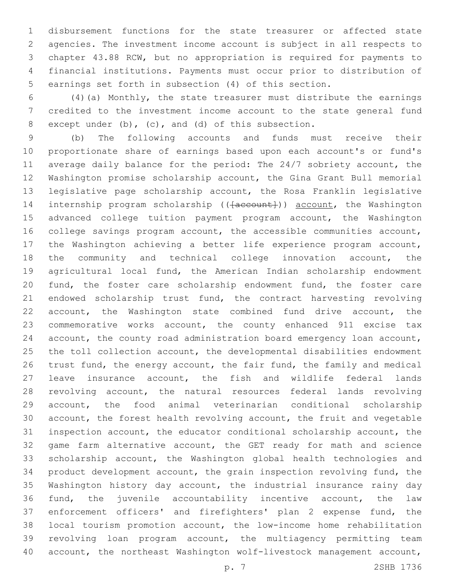disbursement functions for the state treasurer or affected state agencies. The investment income account is subject in all respects to chapter 43.88 RCW, but no appropriation is required for payments to financial institutions. Payments must occur prior to distribution of earnings set forth in subsection (4) of this section.

 (4)(a) Monthly, the state treasurer must distribute the earnings credited to the investment income account to the state general fund 8 except under (b), (c), and (d) of this subsection.

 (b) The following accounts and funds must receive their proportionate share of earnings based upon each account's or fund's average daily balance for the period: The 24/7 sobriety account, the Washington promise scholarship account, the Gina Grant Bull memorial legislative page scholarship account, the Rosa Franklin legislative 14 internship program scholarship ((<del>[account]</del>)) account, the Washington advanced college tuition payment program account, the Washington college savings program account, the accessible communities account, the Washington achieving a better life experience program account, the community and technical college innovation account, the agricultural local fund, the American Indian scholarship endowment fund, the foster care scholarship endowment fund, the foster care 21 endowed scholarship trust fund, the contract harvesting revolving account, the Washington state combined fund drive account, the commemorative works account, the county enhanced 911 excise tax account, the county road administration board emergency loan account, the toll collection account, the developmental disabilities endowment 26 trust fund, the energy account, the fair fund, the family and medical leave insurance account, the fish and wildlife federal lands revolving account, the natural resources federal lands revolving account, the food animal veterinarian conditional scholarship account, the forest health revolving account, the fruit and vegetable inspection account, the educator conditional scholarship account, the game farm alternative account, the GET ready for math and science scholarship account, the Washington global health technologies and product development account, the grain inspection revolving fund, the Washington history day account, the industrial insurance rainy day fund, the juvenile accountability incentive account, the law enforcement officers' and firefighters' plan 2 expense fund, the local tourism promotion account, the low-income home rehabilitation revolving loan program account, the multiagency permitting team account, the northeast Washington wolf-livestock management account,

p. 7 2SHB 1736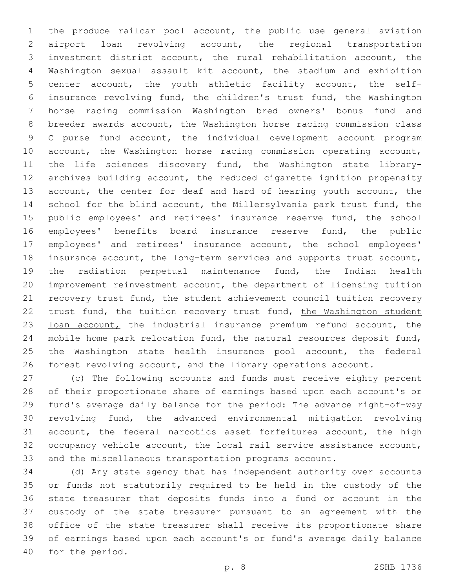the produce railcar pool account, the public use general aviation airport loan revolving account, the regional transportation investment district account, the rural rehabilitation account, the Washington sexual assault kit account, the stadium and exhibition center account, the youth athletic facility account, the self- insurance revolving fund, the children's trust fund, the Washington horse racing commission Washington bred owners' bonus fund and breeder awards account, the Washington horse racing commission class C purse fund account, the individual development account program 10 account, the Washington horse racing commission operating account, the life sciences discovery fund, the Washington state library- archives building account, the reduced cigarette ignition propensity 13 account, the center for deaf and hard of hearing youth account, the school for the blind account, the Millersylvania park trust fund, the 15 public employees' and retirees' insurance reserve fund, the school employees' benefits board insurance reserve fund, the public employees' and retirees' insurance account, the school employees' insurance account, the long-term services and supports trust account, the radiation perpetual maintenance fund, the Indian health improvement reinvestment account, the department of licensing tuition recovery trust fund, the student achievement council tuition recovery 22 trust fund, the tuition recovery trust fund, the Washington student 23 loan account, the industrial insurance premium refund account, the mobile home park relocation fund, the natural resources deposit fund, the Washington state health insurance pool account, the federal forest revolving account, and the library operations account.

 (c) The following accounts and funds must receive eighty percent of their proportionate share of earnings based upon each account's or fund's average daily balance for the period: The advance right-of-way revolving fund, the advanced environmental mitigation revolving account, the federal narcotics asset forfeitures account, the high occupancy vehicle account, the local rail service assistance account, and the miscellaneous transportation programs account.

 (d) Any state agency that has independent authority over accounts or funds not statutorily required to be held in the custody of the state treasurer that deposits funds into a fund or account in the custody of the state treasurer pursuant to an agreement with the office of the state treasurer shall receive its proportionate share of earnings based upon each account's or fund's average daily balance 40 for the period.